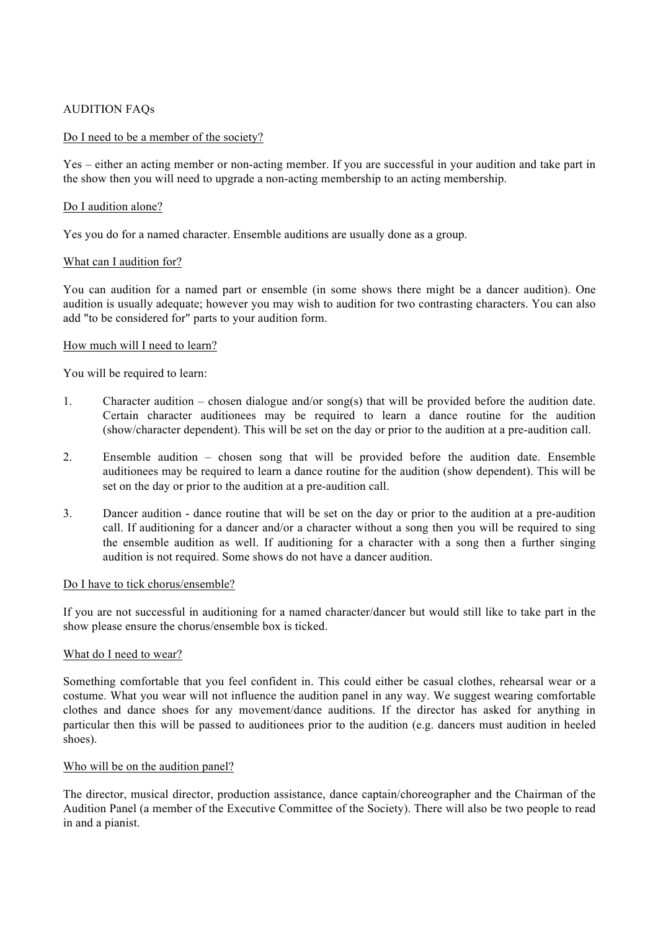# AUDITION FAQs

# Do I need to be a member of the society?

Yes – either an acting member or non-acting member. If you are successful in your audition and take part in the show then you will need to upgrade a non-acting membership to an acting membership.

# Do I audition alone?

Yes you do for a named character. Ensemble auditions are usually done as a group.

#### What can I audition for?

You can audition for a named part or ensemble (in some shows there might be a dancer audition). One audition is usually adequate; however you may wish to audition for two contrasting characters. You can also add "to be considered for" parts to your audition form.

# How much will I need to learn?

You will be required to learn:

- 1. Character audition chosen dialogue and/or song(s) that will be provided before the audition date. Certain character auditionees may be required to learn a dance routine for the audition (show/character dependent). This will be set on the day or prior to the audition at a pre-audition call.
- 2. Ensemble audition chosen song that will be provided before the audition date. Ensemble auditionees may be required to learn a dance routine for the audition (show dependent). This will be set on the day or prior to the audition at a pre-audition call.
- 3. Dancer audition dance routine that will be set on the day or prior to the audition at a pre-audition call. If auditioning for a dancer and/or a character without a song then you will be required to sing the ensemble audition as well. If auditioning for a character with a song then a further singing audition is not required. Some shows do not have a dancer audition.

#### Do I have to tick chorus/ensemble?

If you are not successful in auditioning for a named character/dancer but would still like to take part in the show please ensure the chorus/ensemble box is ticked.

#### What do I need to wear?

Something comfortable that you feel confident in. This could either be casual clothes, rehearsal wear or a costume. What you wear will not influence the audition panel in any way. We suggest wearing comfortable clothes and dance shoes for any movement/dance auditions. If the director has asked for anything in particular then this will be passed to auditionees prior to the audition (e.g. dancers must audition in heeled shoes).

#### Who will be on the audition panel?

The director, musical director, production assistance, dance captain/choreographer and the Chairman of the Audition Panel (a member of the Executive Committee of the Society). There will also be two people to read in and a pianist.